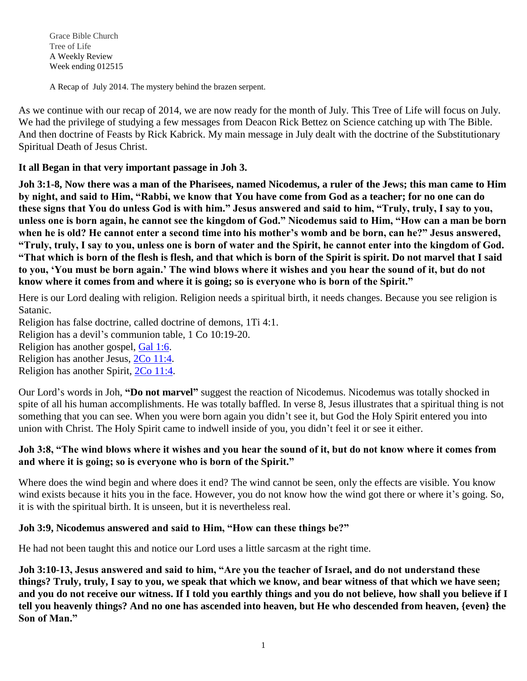Grace Bible Church Tree of Life A Weekly Review Week ending 012515

A Recap of July 2014. The mystery behind the brazen serpent.

As we continue with our recap of 2014, we are now ready for the month of July. This Tree of Life will focus on July. We had the privilege of studying a few messages from Deacon Rick Bettez on Science catching up with The Bible. And then doctrine of Feasts by Rick Kabrick. My main message in July dealt with the doctrine of the Substitutionary Spiritual Death of Jesus Christ.

**It all Began in that very important passage in Joh 3[.](javascript:void(0);)**

**[Joh 3:1-8, Now there was a man of the Pharisees, named Nicodemus, a ruler of the Jews; this man came to Him](javascript:void(0);)  by night, and said to Him, "Rabbi, we know that [You have come from God as a teacher; for no one can do](javascript:void(0);)  [these signs that You do unless God is with him." Jesus answered and said to him, "Truly, truly, I say to you,](javascript:void(0);)  [unless one is born again, he cannot see the kingdom of God." Nicodemus said to Him, "How can a man be born](javascript:void(0);)  [when he is old? He cannot enter a second time into his mother's womb and be born, can he?" Jesus answered,](javascript:void(0);)  ["Truly, truly, I say to you, unless one is born of water and the Spirit, he cannot enter into the kingdom of God.](javascript:void(0);)  ["That which is born of the flesh is flesh, and that which is born of the Spirit is spirit. Do not marvel that I said](javascript:void(0);)  [to you, 'You must be born again.' The wind blows where it wishes and you hear the sound of it, but do not](javascript:void(0);)  [know where it comes from and where it is going; so is everyone who is born of the Spirit."](javascript:void(0);)**

Here is our Lord dealing with religion. Religion needs a spiritual birth, it needs changes. Because you see religion is Satanic.

Religion has false doctrine, called doctrine of demons, 1Ti 4:1.

Religion has a devil's communion table, 1 Co 10:19-20.

Religion has another gospel, [Gal](javascript:void(0);) 1:6.

Religion has another Jesus, 2Co [11:4.](javascript:void(0);)

Religion has another Spirit, 2Co [11:4.](javascript:void(0);)

Our Lord's words in Joh, **"Do not marvel"** suggest the reaction of Nicodemus. Nicodemus was totally shocked in spite of all his human accomplishments. He was totally baffled. In verse 8, Jesus illustrates that a spiritual thing is not something that you can see. When you were born again you didn't see it, but God the Holy Spirit entered you into union with Christ. The Holy Spirit came to indwell inside of you, you didn't feel it or see it either.

## **Joh 3:8, "The wind blows where it wishes and you hear the sound of it, but do not know where it comes from and where it is going; so is everyone who is born of the Spirit."**

Where does the wind begin and where does it end? The wind cannot be seen, only the effects are visible. You know wind exists because it hits you in the face. However, you do not know how the wind got there or where it's going. So, it is with the spiritual birth. It is unseen, but it is nevertheless real.

## **Joh 3:9, Nicodemus answered and said to Him, "How can these things be?"**

He had not been taught this and notice our Lord uses a little sarcasm at the right time.

**Joh 3:10-13, Jesus answered and said to him, "Are you the teacher of Israel, and do not understand these things? Truly, truly, I say to you, we speak that which we know, and bear witness of that which we have seen; and you do not receive our witness. If I told you earthly things and you do not believe, how shall you believe if I tell you heavenly things? And no one has ascended into heaven, but He who descended from heaven, {even} the Son of Man."**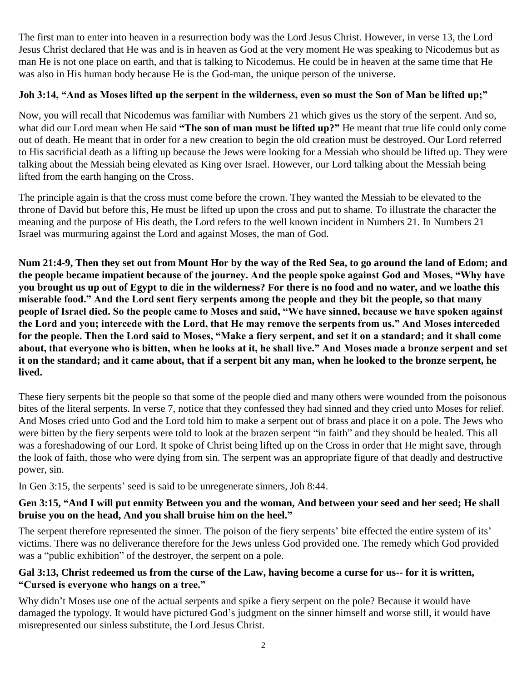The first man to enter into heaven in a resurrection body was the Lord Jesus Christ. However, in verse 13, the Lord Jesus Christ declared that He was and is in heaven as God at the very moment He was speaking to Nicodemus but as man He is not one place on earth, and that is talking to Nicodemus. He could be in heaven at the same time that He was also in His human body because He is the God-man, the unique person of the universe.

# **Joh 3:14, "And as Moses lifted up the serpent in the wilderness, even so must the Son of Man be lifted up;"**

Now, you will recall that Nicodemus was familiar with Numbers 21 which gives us the story of the serpent. And so, what did our Lord mean when He said **"The son of man must be lifted up?"** He meant that true life could only come out of death. He meant that in order for a new creation to begin the old creation must be destroyed. Our Lord referred to His sacrificial death as a lifting up because the Jews were looking for a Messiah who should be lifted up. They were talking about the Messiah being elevated as King over Israel. However, our Lord talking about the Messiah being lifted from the earth hanging on the Cross.

The principle again is that the cross must come before the crown. They wanted the Messiah to be elevated to the throne of David but before this, He must be lifted up upon the cross and put to shame. To illustrate the character the meaning and the purpose of His death, the Lord refers to the well known incident in Numbers 21. In Numbers 21 Israel was murmuring against the Lord and against Moses, the man of God.

**Num 21:4-9, Then they set out from Mount Hor by the way of the Red Sea, to go around the land of Edom; and the people became impatient because of the journey. And the people spoke against God and Moses, "Why have you brought us up out of Egypt to die in the wilderness? For there is no food and no water, and we loathe this miserable food." And the Lord sent fiery serpents among the people and they bit the people, so that many people of Israel died. So the people came to Moses and said, "We have sinned, because we have spoken against the Lord and you; intercede with the Lord, that He may remove the serpents from us." And Moses interceded for the people. Then the Lord said to Moses, "Make a fiery serpent, and set it on a standard; and it shall come about, that everyone who is bitten, when he looks at it, he shall live." And Moses made a bronze serpent and set it on the standard; and it came about, that if a serpent bit any man, when he looked to the bronze serpent, he lived.** 

These fiery serpents bit the people so that some of the people died and many others were wounded from the poisonous bites of the literal serpents. In verse 7, notice that they confessed they had sinned and they cried unto Moses for relief. And Moses cried unto God and the Lord told him to make a serpent out of brass and place it on a pole. The Jews who were bitten by the fiery serpents were told to look at the brazen serpent "in faith" and they should be healed. This all was a foreshadowing of our Lord. It spoke of Christ being lifted up on the Cross in order that He might save, through the look of faith, those who were dying from sin. The serpent was an appropriate figure of that deadly and destructive power, sin.

In Gen 3:15, the serpents' seed is said to be unregenerate sinners, Joh 8:44.

## **Gen 3:15, "And I will put enmity Between you and the woman, And between your seed and her seed; He shall bruise you on the head, And you shall bruise him on the heel."**

The serpent therefore represented the sinner. The poison of the fiery serpents' bite effected the entire system of its' victims. There was no deliverance therefore for the Jews unless God provided one. The remedy which God provided was a "public exhibition" of the destroyer, the serpent on a pole.

## **Gal 3:13, Christ redeemed us from the curse of the Law, having become a curse for us-- for it is written, "Cursed is everyone who hangs on a tree."**

Why didn't Moses use one of the actual serpents and spike a fiery serpent on the pole? Because it would have damaged the typology. It would have pictured God's judgment on the sinner himself and worse still, it would have misrepresented our sinless substitute, the Lord Jesus Christ.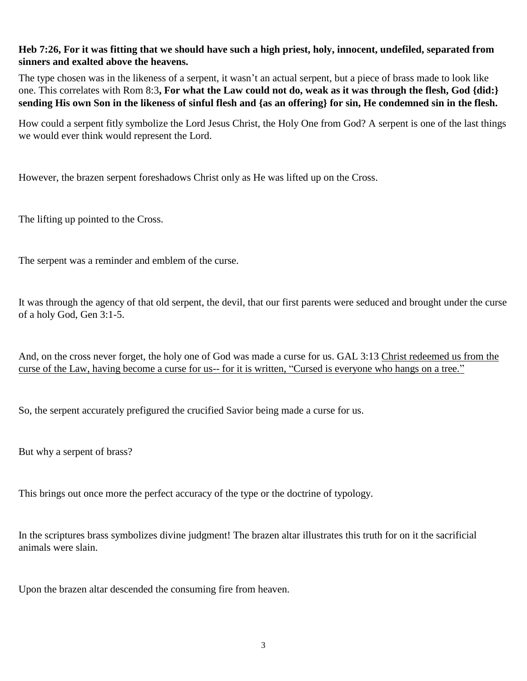#### **Heb 7:26, For it was fitting that we should have such a high priest, holy, innocent, undefiled, separated from sinners and exalted above the heavens.**

The type chosen was in the likeness of a serpent, it wasn't an actual serpent, but a piece of brass made to look like one. This correlates with Rom 8:3**, For what the Law could not do, weak as it was through the flesh, God {did:} sending His own Son in the likeness of sinful flesh and {as an offering} for sin, He condemned sin in the flesh.**

How could a serpent fitly symbolize the Lord Jesus Christ, the Holy One from God? A serpent is one of the last things we would ever think would represent the Lord.

However, the brazen serpent foreshadows Christ only as He was lifted up on the Cross.

The lifting up pointed to the Cross.

The serpent was a reminder and emblem of the curse.

It was through the agency of that old serpent, the devil, that our first parents were seduced and brought under the curse of a holy God, Gen 3:1-5.

And, on the cross never forget, the holy one of God was made a curse for us. GAL 3:13 Christ redeemed us from the curse of the Law, having become a curse for us-- for it is written, "Cursed is everyone who hangs on a tree."

So, the serpent accurately prefigured the crucified Savior being made a curse for us.

But why a serpent of brass?

This brings out once more the perfect accuracy of the type or the doctrine of typology.

In the scriptures brass symbolizes divine judgment! The brazen altar illustrates this truth for on it the sacrificial animals were slain.

Upon the brazen altar descended the consuming fire from heaven.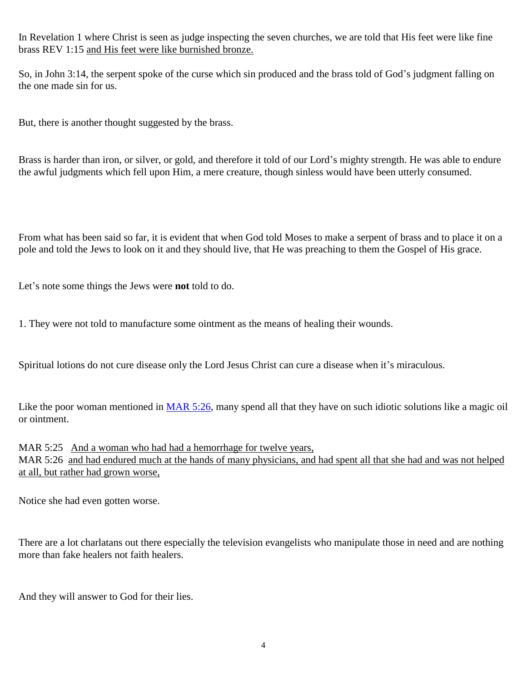In Revelation 1 where Christ is seen as judge inspecting the seven churches, we are told that His feet were like fine brass REV 1:15 and His feet were like burnished bronze.

So, in John 3:14, the serpent spoke of the curse which sin produced and the brass told of God's judgment falling on the one made sin for us.

But, there is another thought suggested by the brass.

Brass is harder than iron, or silver, or gold, and therefore it told of our Lord's mighty strength. He was able to endure the awful judgments which fell upon Him, a mere creature, though sinless would have been utterly consumed.

From what has been said so far, it is evident that when God told Moses to make a serpent of brass and to place it on a pole and told the Jews to look on it and they should live, that He was preaching to them the Gospel of His grace.

Let's note some things the Jews were **not** told to do.

1. They were not told to manufacture some ointment as the means of healing their wounds.

Spiritual lotions do not cure disease only the Lord Jesus Christ can cure a disease when it's miraculous.

Like the poor woman mentioned in [MAR 5:26,](javascript:void(0);) many spend all that they have on such idiotic solutions like a magic oil or ointment.

MAR 5:25 And a woman who had had a hemorrhage for twelve years, MAR 5:26 and had endured much at the hands of many physicians, and had spent all that she had and was not helped at all, but rather had grown worse,

Notice she had even gotten worse.

There are a lot charlatans out there especially the television evangelists who manipulate those in need and are nothing more than fake healers not faith healers.

And they will answer to God for their lies.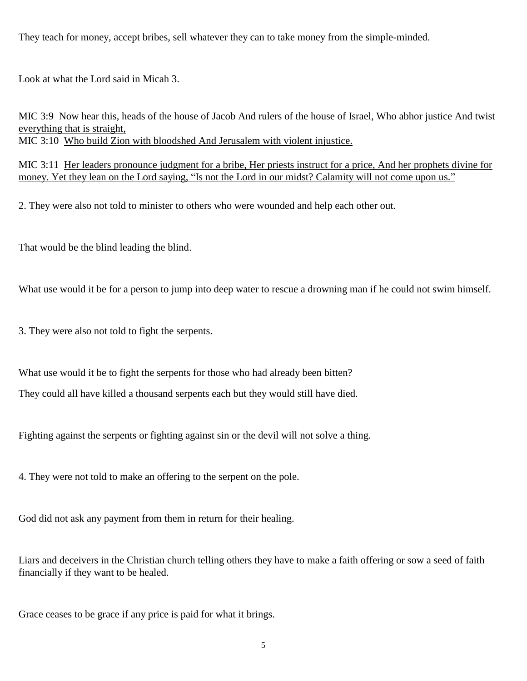They teach for money, accept bribes, sell whatever they can to take money from the simple-minded.

Look at what the Lord said in Micah 3.

MIC 3:9 Now hear this, heads of the house of Jacob And rulers of the house of Israel, Who abhor justice And twist everything that is straight, MIC 3:10 Who build Zion with bloodshed And Jerusalem with violent injustice.

MIC 3:11 Her leaders pronounce judgment for a bribe, Her priests instruct for a price, And her prophets divine for money. Yet they lean on the Lord saying, "Is not the Lord in our midst? Calamity will not come upon us."

2. They were also not told to minister to others who were wounded and help each other out.

That would be the blind leading the blind.

What use would it be for a person to jump into deep water to rescue a drowning man if he could not swim himself.

3. They were also not told to fight the serpents.

What use would it be to fight the serpents for those who had already been bitten?

They could all have killed a thousand serpents each but they would still have died.

Fighting against the serpents or fighting against sin or the devil will not solve a thing.

4. They were not told to make an offering to the serpent on the pole.

God did not ask any payment from them in return for their healing.

Liars and deceivers in the Christian church telling others they have to make a faith offering or sow a seed of faith financially if they want to be healed.

Grace ceases to be grace if any price is paid for what it brings.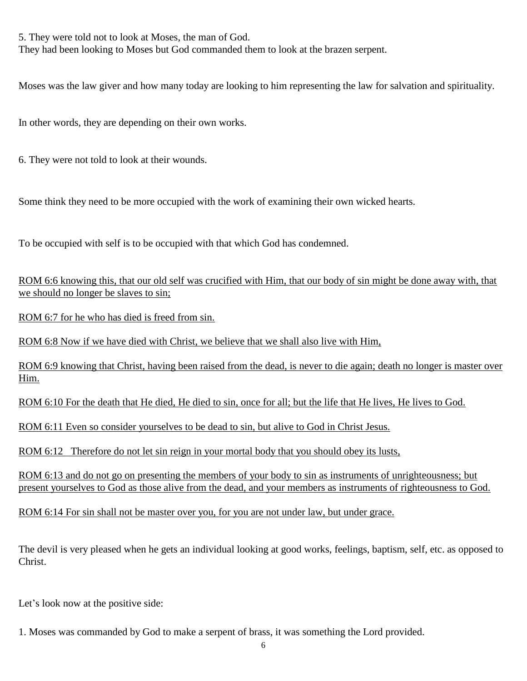5. They were told not to look at Moses, the man of God. They had been looking to Moses but God commanded them to look at the brazen serpent.

Moses was the law giver and how many today are looking to him representing the law for salvation and spirituality.

In other words, they are depending on their own works.

6. They were not told to look at their wounds.

Some think they need to be more occupied with the work of examining their own wicked hearts.

To be occupied with self is to be occupied with that which God has condemned.

ROM 6:6 knowing this, that our old self was crucified with Him, that our body of sin might be done away with, that we should no longer be slaves to sin;

ROM 6:7 for he who has died is freed from sin.

ROM 6:8 Now if we have died with Christ, we believe that we shall also live with Him,

ROM 6:9 knowing that Christ, having been raised from the dead, is never to die again; death no longer is master over Him.

ROM 6:10 For the death that He died, He died to sin, once for all; but the life that He lives, He lives to God.

ROM 6:11 Even so consider yourselves to be dead to sin, but alive to God in Christ Jesus.

ROM 6:12 Therefore do not let sin reign in your mortal body that you should obey its lusts,

ROM 6:13 and do not go on presenting the members of your body to sin as instruments of unrighteousness; but present yourselves to God as those alive from the dead, and your members as instruments of righteousness to God.

ROM 6:14 For sin shall not be master over you, for you are not under law, but under grace.

The devil is very pleased when he gets an individual looking at good works, feelings, baptism, self, etc. as opposed to Christ.

Let's look now at the positive side:

1. Moses was commanded by God to make a serpent of brass, it was something the Lord provided.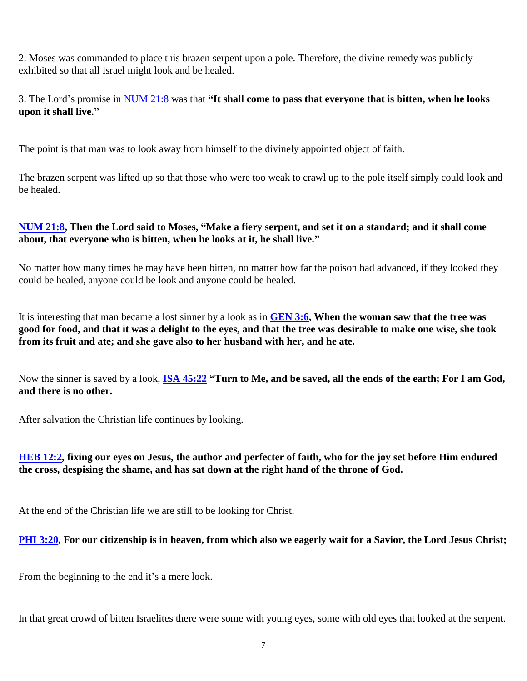2. Moses was commanded to place this brazen serpent upon a pole. Therefore, the divine remedy was publicly exhibited so that all Israel might look and be healed.

3. The Lord's promise in [NUM 21:8](javascript:void(0);) was that **"It shall come to pass that everyone that is bitten, when he looks upon it shall live."**

The point is that man was to look away from himself to the divinely appointed object of faith.

The brazen serpent was lifted up so that those who were too weak to crawl up to the pole itself simply could look and be healed.

#### **[NUM 21:8,](javascript:void(0);) Then the Lord said to Moses, "Make a fiery serpent, and set it on a standard; and it shall come about, that everyone who is bitten, when he looks at it, he shall live."**

No matter how many times he may have been bitten, no matter how far the poison had advanced, if they looked they could be healed, anyone could be look and anyone could be healed.

It is interesting that man became a lost sinner by a look as in **[GEN 3:6,](javascript:void(0);) When the woman saw that the tree was good for food, and that it was a delight to the eyes, and that the tree was desirable to make one wise, she took from its fruit and ate; and she gave also to her husband with her, and he ate.**

Now the sinner is saved by a look, **[ISA 45:22](javascript:void(0);) "Turn to Me, and be saved, all the ends of the earth; For I am God, and there is no other.**

After salvation the Christian life continues by looking.

## **[HEB 12:2,](javascript:void(0);) fixing our eyes on Jesus, the author and perfecter of faith, who for the joy set before Him endured the cross, despising the shame, and has sat down at the right hand of the throne of God.**

At the end of the Christian life we are still to be looking for Christ.

**[PHI 3:20,](javascript:void(0);) For our citizenship is in heaven, from which also we eagerly wait for a Savior, the Lord Jesus Christ;**

From the beginning to the end it's a mere look.

In that great crowd of bitten Israelites there were some with young eyes, some with old eyes that looked at the serpent.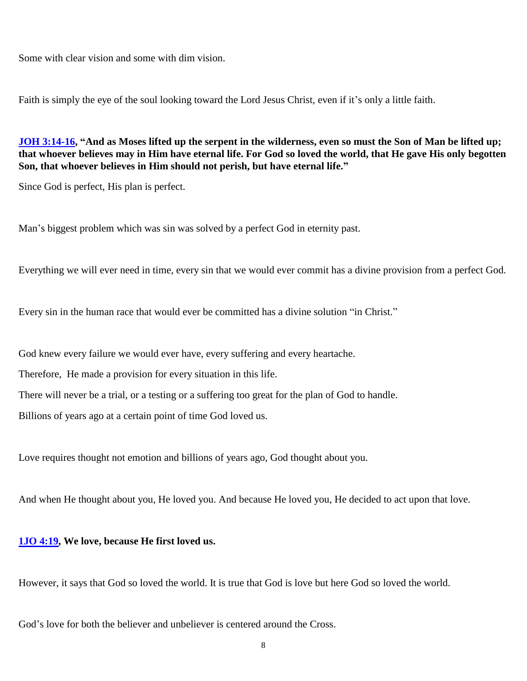Some with clear vision and some with dim vision.

Faith is simply the eye of the soul looking toward the Lord Jesus Christ, even if it's only a little faith.

**[JOH 3:14-16,](javascript:void(0);) "And as Moses lifted up the serpent in the wilderness, even so must the Son of Man be lifted up; that whoever believes may in Him have eternal life. For God so loved the world, that He gave His only begotten Son, that whoever believes in Him should not perish, but have eternal life."**

Since God is perfect, His plan is perfect.

Man's biggest problem which was sin was solved by a perfect God in eternity past.

Everything we will ever need in time, every sin that we would ever commit has a divine provision from a perfect God.

Every sin in the human race that would ever be committed has a divine solution "in Christ."

God knew every failure we would ever have, every suffering and every heartache.

Therefore, He made a provision for every situation in this life.

There will never be a trial, or a testing or a suffering too great for the plan of God to handle.

Billions of years ago at a certain point of time God loved us.

Love requires thought not emotion and billions of years ago, God thought about you.

And when He thought about you, He loved you. And because He loved you, He decided to act upon that love.

#### **[1JO 4:19,](javascript:void(0);) We love, because He first loved us.**

However, it says that God so loved the world. It is true that God is love but here God so loved the world.

God's love for both the believer and unbeliever is centered around the Cross.